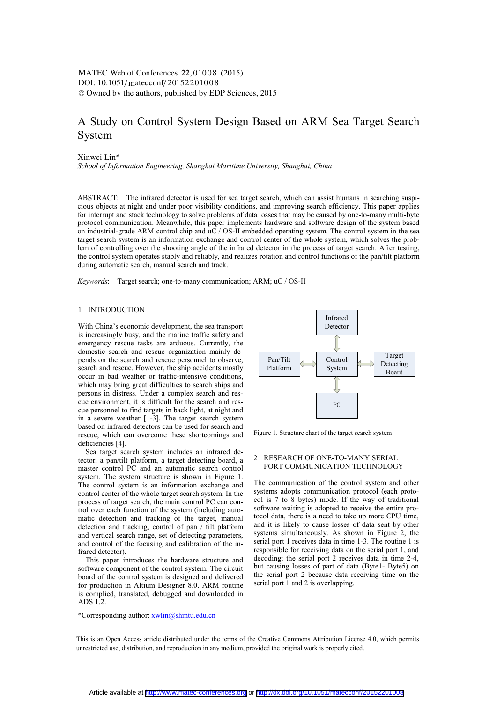DOI: 10.1051/matecconf/20152201008 -<sup>C</sup> Owned by the authors, published by EDP Sciences, 2015 MATEC Web of Conferences 22,01008 (2015)

# A Study on Control System Design Based on ARM Sea Target Search System

Xinwei Lin\*

*School of Information Engineering, Shanghai Maritime University, Shanghai, China* 

ABSTRACT: The infrared detector is used for sea target search, which can assist humans in searching suspicious objects at night and under poor visibility conditions, and improving search efficiency. This paper applies for interrupt and stack technology to solve problems of data losses that may be caused by one-to-many multi-byte protocol communication. Meanwhile, this paper implements hardware and software design of the system based on industrial-grade ARM control chip and uC / OS-II embedded operating system. The control system in the sea target search system is an information exchange and control center of the whole system, which solves the problem of controlling over the shooting angle of the infrared detector in the process of target search. After testing, the control system operates stably and reliably, and realizes rotation and control functions of the pan/tilt platform during automatic search, manual search and track.

*Keywords*: Target search; one-to-many communication; ARM; uC / OS-II

## 1 INTRODUCTION

With China's economic development, the sea transport is increasingly busy, and the marine traffic safety and emergency rescue tasks are arduous. Currently, the domestic search and rescue organization mainly depends on the search and rescue personnel to observe, search and rescue. However, the ship accidents mostly occur in bad weather or traffic-intensive conditions, which may bring great difficulties to search ships and persons in distress. Under a complex search and rescue environment, it is difficult for the search and rescue personnel to find targets in back light, at night and in a severe weather [1-3]. The target search system based on infrared detectors can be used for search and rescue, which can overcome these shortcomings and deficiencies [4].

Sea target search system includes an infrared detector, a pan/tilt platform, a target detecting board, a master control PC and an automatic search control system. The system structure is shown in Figure 1. The control system is an information exchange and control center of the whole target search system. In the process of target search, the main control PC can control over each function of the system (including automatic detection and tracking of the target, manual detection and tracking, control of pan / tilt platform and vertical search range, set of detecting parameters, and control of the focusing and calibration of the infrared detector).

This paper introduces the hardware structure and software component of the control system. The circuit board of the control system is designed and delivered for production in Altium Designer 8.0. ARM routine is complied, translated, debugged and downloaded in ADS 1.2.

\*Corresponding author: xwlin@shmtu.edu.cn



Figure 1. Structure chart of the target search system

## 2 RESEARCH OF ONE-TO-MANY SERIAL PORT COMMUNICATION TECHNOLOGY

The communication of the control system and other systems adopts communication protocol (each protocol is 7 to 8 bytes) mode. If the way of traditional software waiting is adopted to receive the entire protocol data, there is a need to take up more CPU time, and it is likely to cause losses of data sent by other systems simultaneously. As shown in Figure 2, the serial port 1 receives data in time 1-3. The routine 1 is responsible for receiving data on the serial port 1, and decoding; the serial port 2 receives data in time 2-4, but causing losses of part of data (Byte1- Byte5) on the serial port 2 because data receiving time on the serial port 1 and 2 is overlapping.

This is an Open Access article distributed under the terms of the Creative Commons Attribution License 4.0, which permits unrestricted use, distribution, and reproduction in any medium, provided the original work is properly cited.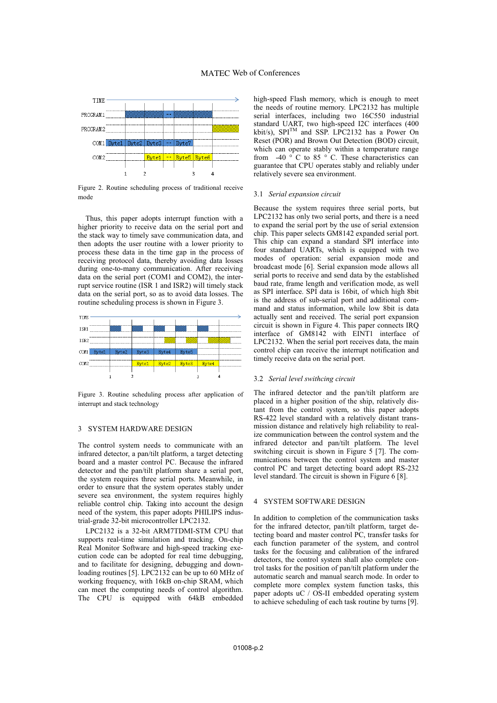## MATEC Web of Conferences



Figure 2. Routine scheduling process of traditional receive mode

Thus, this paper adopts interrupt function with a higher priority to receive data on the serial port and the stack way to timely save communication data, and then adopts the user routine with a lower priority to process these data in the time gap in the process of receiving protocol data, thereby avoiding data losses during one-to-many communication. After receiving data on the serial port (COM1 and COM2), the interrupt service routine (ISR 1 and ISR2) will timely stack data on the serial port, so as to avoid data losses. The routine scheduling process is shown in Figure 3.



Figure 3. Routine scheduling process after application of interrupt and stack technology

## 3 SYSTEM HARDWARE DESIGN

The control system needs to communicate with an infrared detector, a pan/tilt platform, a target detecting board and a master control PC. Because the infrared detector and the pan/tilt platform share a serial port, the system requires three serial ports. Meanwhile, in order to ensure that the system operates stably under severe sea environment, the system requires highly reliable control chip. Taking into account the design need of the system, this paper adopts PHILIPS industrial-grade 32-bit microcontroller LPC2132.

LPC2132 is a 32-bit ARM7TDMI-STM CPU that supports real-time simulation and tracking. On-chip Real Monitor Software and high-speed tracking execution code can be adopted for real time debugging, and to facilitate for designing, debugging and downloading routines [5]. LPC2132 can be up to 60 MHz of working frequency, with 16kB on-chip SRAM, which can meet the computing needs of control algorithm. The CPU is equipped with 64kB embedded

high-speed Flash memory, which is enough to meet the needs of routine memory. LPC2132 has multiple serial interfaces, including two 16C550 industrial standard UART, two high-speed I2C interfaces (400 kbit/s), SPITM and SSP. LPC2132 has a Power On Reset (POR) and Brown Out Detection (BOD) circuit, which can operate stably within a temperature range from  $-40$  ° C to 85 ° C. These characteristics can guarantee that CPU operates stably and reliably under relatively severe sea environment.

#### 3.1 *Serial expansion circuit*

Because the system requires three serial ports, but LPC2132 has only two serial ports, and there is a need to expand the serial port by the use of serial extension chip. This paper selects GM8142 expanded serial port. This chip can expand a standard SPI interface into four standard UARTs, which is equipped with two modes of operation: serial expansion mode and broadcast mode [6]. Serial expansion mode allows all serial ports to receive and send data by the established baud rate, frame length and verification mode, as well as SPI interface. SPI data is 16bit, of which high 8bit is the address of sub-serial port and additional command and status information, while low 8bit is data actually sent and received. The serial port expansion circuit is shown in Figure 4. This paper connects IRQ interface of GM8142 with EINT1 interface of LPC2132. When the serial port receives data, the main control chip can receive the interrupt notification and timely receive data on the serial port.

#### 3.2 *Serial level swithcing circuit*

The infrared detector and the pan/tilt platform are placed in a higher position of the ship, relatively distant from the control system, so this paper adopts RS-422 level standard with a relatively distant transmission distance and relatively high reliability to realize communication between the control system and the infrared detector and pan/tilt platform. The level switching circuit is shown in Figure 5 [7]. The communications between the control system and master control PC and target detecting board adopt RS-232 level standard. The circuit is shown in Figure 6 [8].

## 4 SYSTEM SOFTWARE DESIGN

In addition to completion of the communication tasks for the infrared detector, pan/tilt platform, target detecting board and master control PC, transfer tasks for each function parameter of the system, and control tasks for the focusing and calibration of the infrared detectors, the control system shall also complete control tasks for the position of pan/tilt platform under the automatic search and manual search mode. In order to complete more complex system function tasks, this paper adopts uC / OS-II embedded operating system to achieve scheduling of each task routine by turns [9].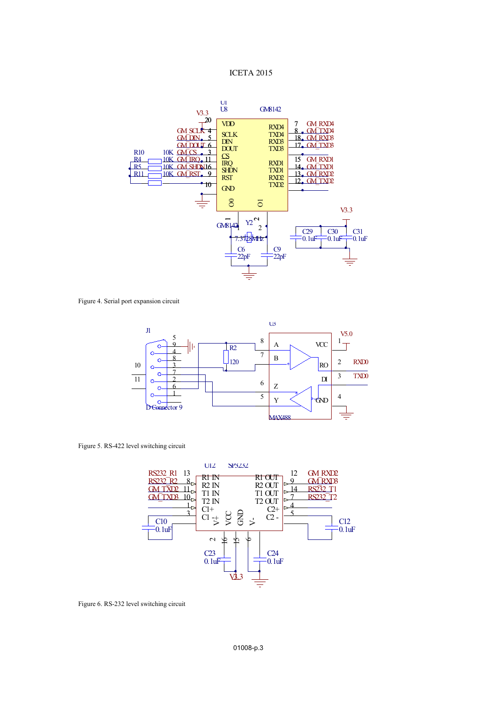## ICETA 2015



Figure 4. Serial port expansion circuit



Figure 5. RS-422 level switching circuit



Figure 6. RS-232 level switching circuit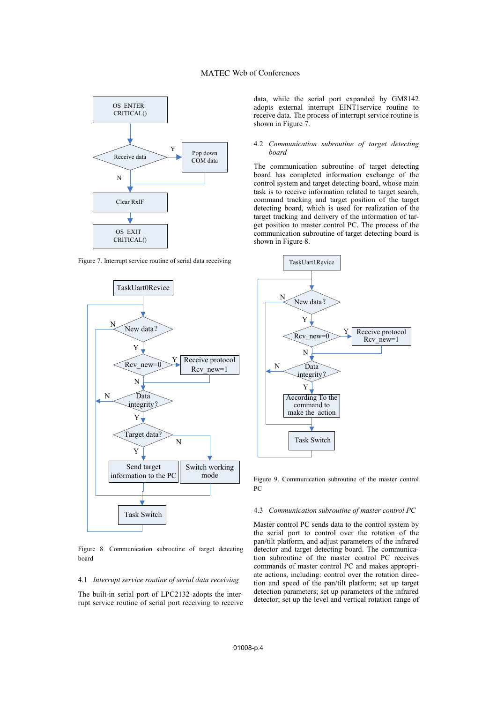## MATEC Web of Conferences



Figure 7. Interrupt service routine of serial data receiving



Figure 8. Communication subroutine of target detecting board

## 4.1 *Interrupt service routine of serial data receiving*

The built-in serial port of LPC2132 adopts the interrupt service routine of serial port receiving to receive data, while the serial port expanded by GM8142 adopts external interrupt EINT1service routine to receive data. The process of interrupt service routine is shown in Figure 7.

### 4.2 *Communication subroutine of target detecting board*

The communication subroutine of target detecting board has completed information exchange of the control system and target detecting board, whose main task is to receive information related to target search, command tracking and target position of the target detecting board, which is used for realization of the target tracking and delivery of the information of target position to master control PC. The process of the communication subroutine of target detecting board is shown in Figure 8.



Figure 9. Communication subroutine of the master control PC

#### 4.3 *Communication subroutine of master control PC*

Master control PC sends data to the control system by the serial port to control over the rotation of the pan/tilt platform, and adjust parameters of the infrared detector and target detecting board. The communication subroutine of the master control PC receives commands of master control PC and makes appropriate actions, including: control over the rotation direction and speed of the pan/tilt platform; set up target detection parameters; set up parameters of the infrared detector; set up the level and vertical rotation range of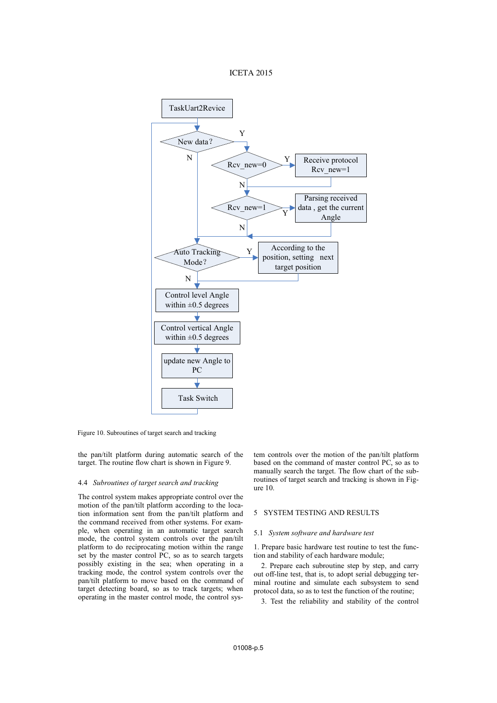## ICETA 2015



Figure 10. Subroutines of target search and tracking

the pan/tilt platform during automatic search of the target. The routine flow chart is shown in Figure 9.

#### 4.4 *Subroutines of target search and tracking*

The control system makes appropriate control over the motion of the pan/tilt platform according to the location information sent from the pan/tilt platform and the command received from other systems. For example, when operating in an automatic target search mode, the control system controls over the pan/tilt platform to do reciprocating motion within the range set by the master control PC, so as to search targets possibly existing in the sea; when operating in a tracking mode, the control system controls over the pan/tilt platform to move based on the command of target detecting board, so as to track targets; when operating in the master control mode, the control system controls over the motion of the pan/tilt platform based on the command of master control PC, so as to manually search the target. The flow chart of the subroutines of target search and tracking is shown in Figure 10.

#### 5 SYSTEM TESTING AND RESULTS

#### 5.1 *System software and hardware test*

1. Prepare basic hardware test routine to test the function and stability of each hardware module;

2. Prepare each subroutine step by step, and carry out off-line test, that is, to adopt serial debugging terminal routine and simulate each subsystem to send protocol data, so as to test the function of the routine;

3. Test the reliability and stability of the control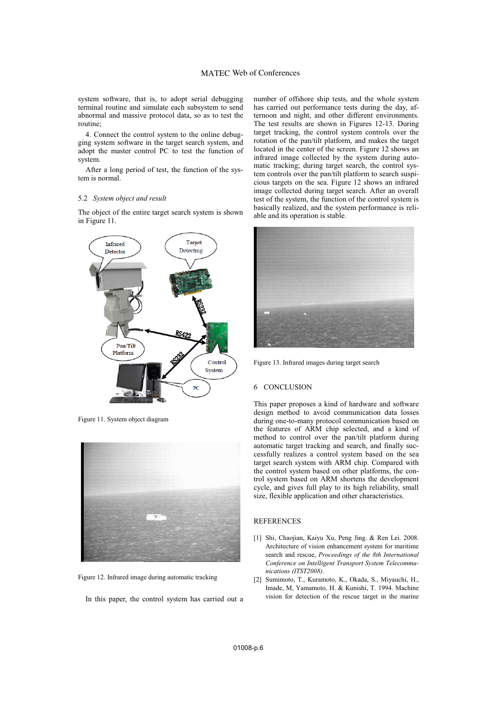## MATEC Web of Conferences

system software, that is, to adopt serial debugging terminal routine and simulate each subsystem to send abnormal and massive protocol data, so as to test the routine;

4. Connect the control system to the online debugging system software in the target search system, and adopt the master control PC to test the function of system.

After a long period of test, the function of the system is normal.

#### 5.2 *System object and result*

The object of the entire target search system is shown in Figure 11.



Figure 11. System object diagram



Figure 12. Infrared image during automatic tracking

In this paper, the control system has carried out a

number of offshore ship tests, and the whole system has carried out performance tests during the day, afternoon and night, and other different environments. The test results are shown in Figures 12-13. During target tracking, the control system controls over the rotation of the pan/tilt platform, and makes the target located in the center of the screen. Figure 12 shows an infrared image collected by the system during automatic tracking; during target search, the control system controls over the pan/tilt platform to search suspicious targets on the sea. Figure 12 shows an infrared image collected during target search. After an overall test of the system, the function of the control system is basically realized, and the system performance is reliable and its operation is stable.



Figure 13. Infrared images during target search

### 6 CONCLUSION

This paper proposes a kind of hardware and software design method to avoid communication data losses during one-to-many protocol communication based on the features of ARM chip selected, and a kind of method to control over the pan/tilt platform during automatic target tracking and search, and finally successfully realizes a control system based on the sea target search system with ARM chip. Compared with the control system based on other platforms, the control system based on ARM shortens the development cycle, and gives full play to its high reliability, small size, flexible application and other characteristics.

## **REFERENCES**

- [1] Shi, Chaojian, Kaiyu Xu, Peng Jing. & Ren Lei. 2008. Architecture of vision enhancement system for maritime search and rescue, *Proceedings of the 8th International Conference on Intelligent Transport System Telecommunications (ITST2008)*.
- [2] Sumimoto, T., Kuramoto, K., Okada, S., Miyauchi, H., Imade, M, Yamamoto, H. & Kunishi, T. 1994. Machine vision for detection of the rescue target in the marine